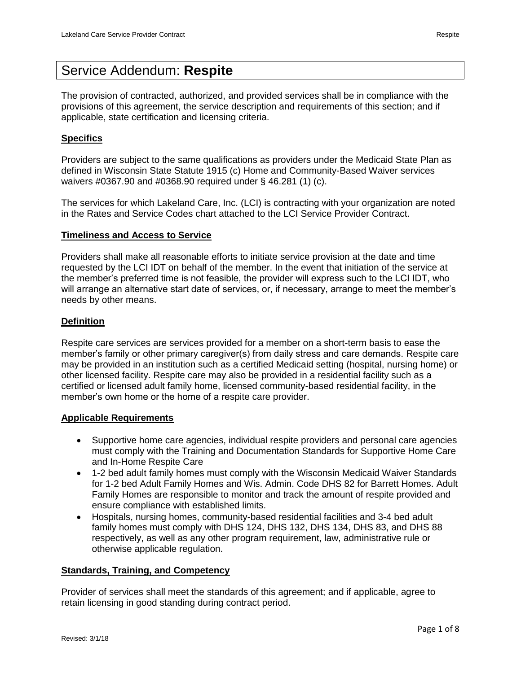# Service Addendum: **Respite**

The provision of contracted, authorized, and provided services shall be in compliance with the provisions of this agreement, the service description and requirements of this section; and if applicable, state certification and licensing criteria.

## **Specifics**

Providers are subject to the same qualifications as providers under the Medicaid State Plan as defined in Wisconsin State Statute 1915 (c) Home and Community-Based Waiver services waivers #0367.90 and #0368.90 required under § 46.281 (1) (c).

The services for which Lakeland Care, Inc. (LCI) is contracting with your organization are noted in the Rates and Service Codes chart attached to the LCI Service Provider Contract.

## **Timeliness and Access to Service**

Providers shall make all reasonable efforts to initiate service provision at the date and time requested by the LCI IDT on behalf of the member. In the event that initiation of the service at the member's preferred time is not feasible, the provider will express such to the LCI IDT, who will arrange an alternative start date of services, or, if necessary, arrange to meet the member's needs by other means.

## **Definition**

Respite care services are services provided for a member on a short-term basis to ease the member's family or other primary caregiver(s) from daily stress and care demands. Respite care may be provided in an institution such as a certified Medicaid setting (hospital, nursing home) or other licensed facility. Respite care may also be provided in a residential facility such as a certified or licensed adult family home, licensed community-based residential facility, in the member's own home or the home of a respite care provider.

## **Applicable Requirements**

- Supportive home care agencies, individual respite providers and personal care agencies must comply with the Training and Documentation Standards for Supportive Home Care and In-Home Respite Care
- 1-2 bed adult family homes must comply with the Wisconsin Medicaid Waiver Standards for 1-2 bed Adult Family Homes and Wis. Admin. Code DHS 82 for Barrett Homes. Adult Family Homes are responsible to monitor and track the amount of respite provided and ensure compliance with established limits.
- Hospitals, nursing homes, community-based residential facilities and 3-4 bed adult family homes must comply with DHS 124, DHS 132, DHS 134, DHS 83, and DHS 88 respectively, as well as any other program requirement, law, administrative rule or otherwise applicable regulation.

## **Standards, Training, and Competency**

Provider of services shall meet the standards of this agreement; and if applicable, agree to retain licensing in good standing during contract period.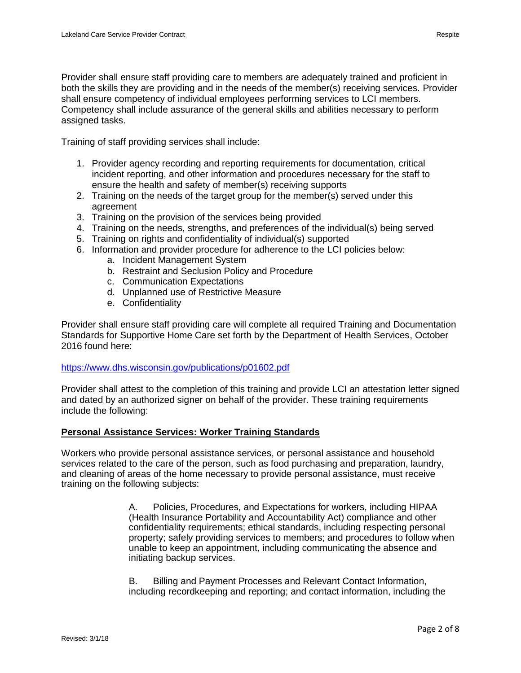Provider shall ensure staff providing care to members are adequately trained and proficient in both the skills they are providing and in the needs of the member(s) receiving services. Provider shall ensure competency of individual employees performing services to LCI members. Competency shall include assurance of the general skills and abilities necessary to perform assigned tasks.

Training of staff providing services shall include:

- 1. Provider agency recording and reporting requirements for documentation, critical incident reporting, and other information and procedures necessary for the staff to ensure the health and safety of member(s) receiving supports
- 2. Training on the needs of the target group for the member(s) served under this agreement
- 3. Training on the provision of the services being provided
- 4. Training on the needs, strengths, and preferences of the individual(s) being served
- 5. Training on rights and confidentiality of individual(s) supported
- 6. Information and provider procedure for adherence to the LCI policies below:
	- a. Incident Management System
	- b. Restraint and Seclusion Policy and Procedure
	- c. Communication Expectations
	- d. Unplanned use of Restrictive Measure
	- e. Confidentiality

Provider shall ensure staff providing care will complete all required Training and Documentation Standards for Supportive Home Care set forth by the Department of Health Services, October 2016 found here:

## <https://www.dhs.wisconsin.gov/publications/p01602.pdf>

Provider shall attest to the completion of this training and provide LCI an attestation letter signed and dated by an authorized signer on behalf of the provider. These training requirements include the following:

## **Personal Assistance Services: Worker Training Standards**

Workers who provide personal assistance services, or personal assistance and household services related to the care of the person, such as food purchasing and preparation, laundry, and cleaning of areas of the home necessary to provide personal assistance, must receive training on the following subjects:

> A. Policies, Procedures, and Expectations for workers, including HIPAA (Health Insurance Portability and Accountability Act) compliance and other confidentiality requirements; ethical standards, including respecting personal property; safely providing services to members; and procedures to follow when unable to keep an appointment, including communicating the absence and initiating backup services.

B. Billing and Payment Processes and Relevant Contact Information, including recordkeeping and reporting; and contact information, including the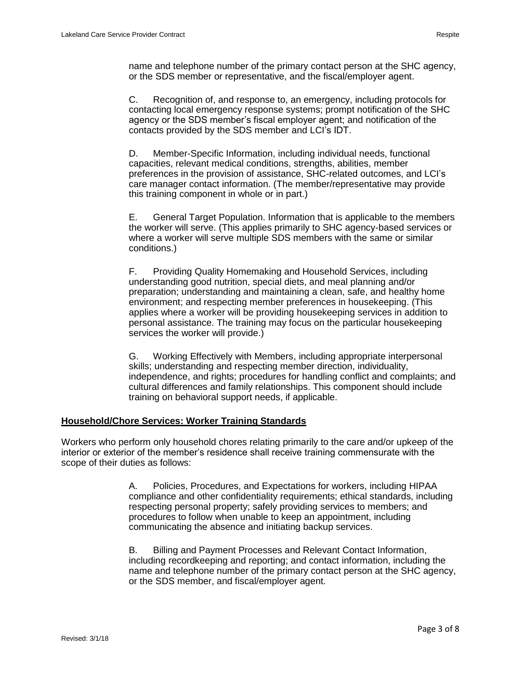name and telephone number of the primary contact person at the SHC agency, or the SDS member or representative, and the fiscal/employer agent.

C. Recognition of, and response to, an emergency, including protocols for contacting local emergency response systems; prompt notification of the SHC agency or the SDS member's fiscal employer agent; and notification of the contacts provided by the SDS member and LCI's IDT.

D. Member-Specific Information, including individual needs, functional capacities, relevant medical conditions, strengths, abilities, member preferences in the provision of assistance, SHC-related outcomes, and LCI's care manager contact information. (The member/representative may provide this training component in whole or in part.)

E. General Target Population. Information that is applicable to the members the worker will serve. (This applies primarily to SHC agency-based services or where a worker will serve multiple SDS members with the same or similar conditions.)

F. Providing Quality Homemaking and Household Services, including understanding good nutrition, special diets, and meal planning and/or preparation; understanding and maintaining a clean, safe, and healthy home environment; and respecting member preferences in housekeeping. (This applies where a worker will be providing housekeeping services in addition to personal assistance. The training may focus on the particular housekeeping services the worker will provide.)

G. Working Effectively with Members, including appropriate interpersonal skills; understanding and respecting member direction, individuality, independence, and rights; procedures for handling conflict and complaints; and cultural differences and family relationships. This component should include training on behavioral support needs, if applicable.

## **Household/Chore Services: Worker Training Standards**

Workers who perform only household chores relating primarily to the care and/or upkeep of the interior or exterior of the member's residence shall receive training commensurate with the scope of their duties as follows:

> A. Policies, Procedures, and Expectations for workers, including HIPAA compliance and other confidentiality requirements; ethical standards, including respecting personal property; safely providing services to members; and procedures to follow when unable to keep an appointment, including communicating the absence and initiating backup services.

> B. Billing and Payment Processes and Relevant Contact Information, including recordkeeping and reporting; and contact information, including the name and telephone number of the primary contact person at the SHC agency, or the SDS member, and fiscal/employer agent.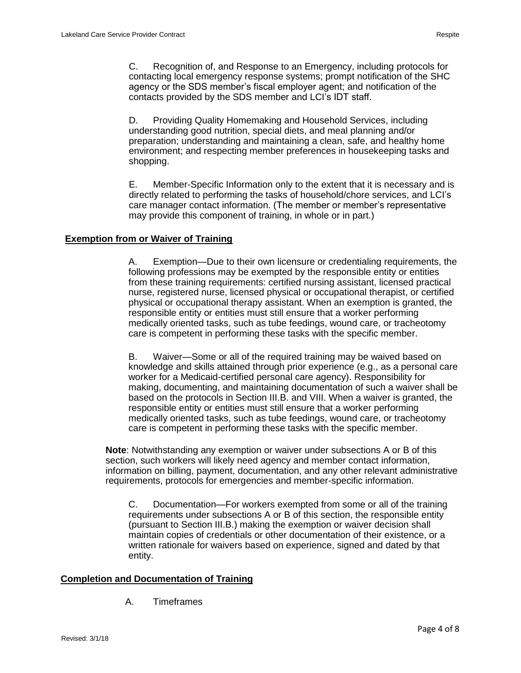C. Recognition of, and Response to an Emergency, including protocols for contacting local emergency response systems; prompt notification of the SHC agency or the SDS member's fiscal employer agent; and notification of the contacts provided by the SDS member and LCI's IDT staff.

D. Providing Quality Homemaking and Household Services, including understanding good nutrition, special diets, and meal planning and/or preparation; understanding and maintaining a clean, safe, and healthy home environment; and respecting member preferences in housekeeping tasks and shopping.

E. Member-Specific Information only to the extent that it is necessary and is directly related to performing the tasks of household/chore services, and LCI's care manager contact information. (The member or member's representative may provide this component of training, in whole or in part.)

## **Exemption from or Waiver of Training**

A. Exemption—Due to their own licensure or credentialing requirements, the following professions may be exempted by the responsible entity or entities from these training requirements: certified nursing assistant, licensed practical nurse, registered nurse, licensed physical or occupational therapist, or certified physical or occupational therapy assistant. When an exemption is granted, the responsible entity or entities must still ensure that a worker performing medically oriented tasks, such as tube feedings, wound care, or tracheotomy care is competent in performing these tasks with the specific member.

B. Waiver—Some or all of the required training may be waived based on knowledge and skills attained through prior experience (e.g., as a personal care worker for a Medicaid-certified personal care agency). Responsibility for making, documenting, and maintaining documentation of such a waiver shall be based on the protocols in Section III.B. and VIII. When a waiver is granted, the responsible entity or entities must still ensure that a worker performing medically oriented tasks, such as tube feedings, wound care, or tracheotomy care is competent in performing these tasks with the specific member.

**Note**: Notwithstanding any exemption or waiver under subsections A or B of this section, such workers will likely need agency and member contact information, information on billing, payment, documentation, and any other relevant administrative requirements, protocols for emergencies and member-specific information.

C. Documentation—For workers exempted from some or all of the training requirements under subsections A or B of this section, the responsible entity (pursuant to Section III.B.) making the exemption or waiver decision shall maintain copies of credentials or other documentation of their existence, or a written rationale for waivers based on experience, signed and dated by that entity.

## **Completion and Documentation of Training**

A. Timeframes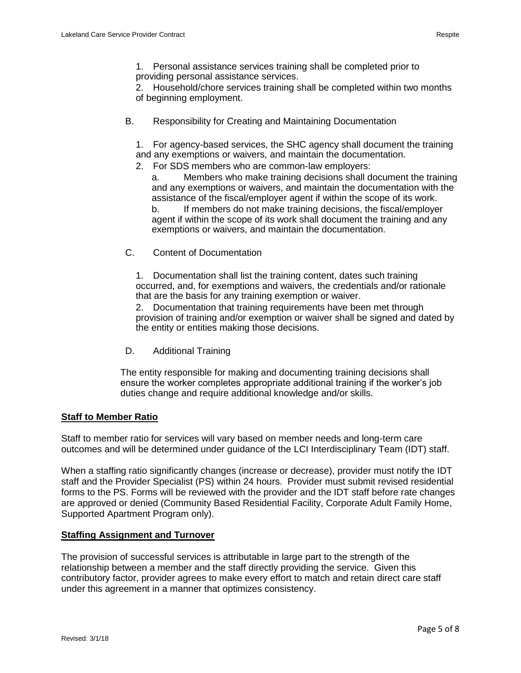1. Personal assistance services training shall be completed prior to providing personal assistance services.

2. Household/chore services training shall be completed within two months of beginning employment.

B. Responsibility for Creating and Maintaining Documentation

1. For agency-based services, the SHC agency shall document the training and any exemptions or waivers, and maintain the documentation.

2. For SDS members who are common-law employers:

a. Members who make training decisions shall document the training and any exemptions or waivers, and maintain the documentation with the assistance of the fiscal/employer agent if within the scope of its work.

b. If members do not make training decisions, the fiscal/employer agent if within the scope of its work shall document the training and any exemptions or waivers, and maintain the documentation.

C. Content of Documentation

1. Documentation shall list the training content, dates such training occurred, and, for exemptions and waivers, the credentials and/or rationale that are the basis for any training exemption or waiver.

2. Documentation that training requirements have been met through provision of training and/or exemption or waiver shall be signed and dated by the entity or entities making those decisions.

D. Additional Training

The entity responsible for making and documenting training decisions shall ensure the worker completes appropriate additional training if the worker's job duties change and require additional knowledge and/or skills.

## **Staff to Member Ratio**

Staff to member ratio for services will vary based on member needs and long-term care outcomes and will be determined under guidance of the LCI Interdisciplinary Team (IDT) staff.

When a staffing ratio significantly changes (increase or decrease), provider must notify the IDT staff and the Provider Specialist (PS) within 24 hours. Provider must submit revised residential forms to the PS. Forms will be reviewed with the provider and the IDT staff before rate changes are approved or denied (Community Based Residential Facility, Corporate Adult Family Home, Supported Apartment Program only).

## **Staffing Assignment and Turnover**

The provision of successful services is attributable in large part to the strength of the relationship between a member and the staff directly providing the service. Given this contributory factor, provider agrees to make every effort to match and retain direct care staff under this agreement in a manner that optimizes consistency.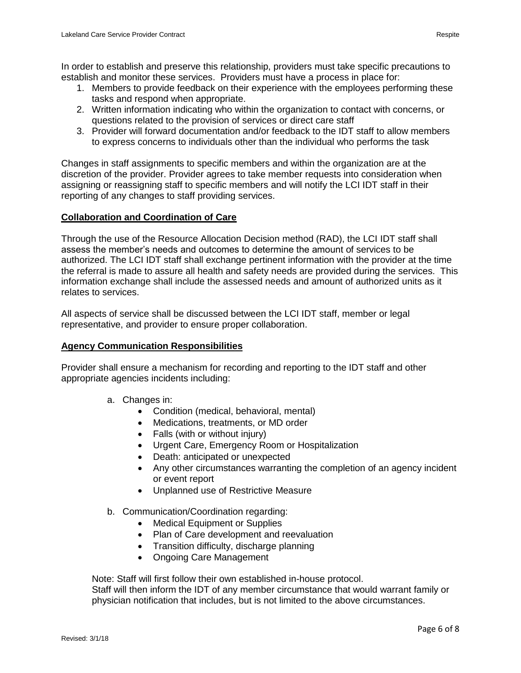In order to establish and preserve this relationship, providers must take specific precautions to establish and monitor these services. Providers must have a process in place for:

- 1. Members to provide feedback on their experience with the employees performing these tasks and respond when appropriate.
- 2. Written information indicating who within the organization to contact with concerns, or questions related to the provision of services or direct care staff
- 3. Provider will forward documentation and/or feedback to the IDT staff to allow members to express concerns to individuals other than the individual who performs the task

Changes in staff assignments to specific members and within the organization are at the discretion of the provider. Provider agrees to take member requests into consideration when assigning or reassigning staff to specific members and will notify the LCI IDT staff in their reporting of any changes to staff providing services.

## **Collaboration and Coordination of Care**

Through the use of the Resource Allocation Decision method (RAD), the LCI IDT staff shall assess the member's needs and outcomes to determine the amount of services to be authorized. The LCI IDT staff shall exchange pertinent information with the provider at the time the referral is made to assure all health and safety needs are provided during the services. This information exchange shall include the assessed needs and amount of authorized units as it relates to services.

All aspects of service shall be discussed between the LCI IDT staff, member or legal representative, and provider to ensure proper collaboration.

## **Agency Communication Responsibilities**

Provider shall ensure a mechanism for recording and reporting to the IDT staff and other appropriate agencies incidents including:

- a. Changes in:
	- Condition (medical, behavioral, mental)
	- Medications, treatments, or MD order
	- Falls (with or without injury)
	- Urgent Care, Emergency Room or Hospitalization
	- Death: anticipated or unexpected
	- Any other circumstances warranting the completion of an agency incident or event report
	- Unplanned use of Restrictive Measure
- b. Communication/Coordination regarding:
	- Medical Equipment or Supplies
	- Plan of Care development and reevaluation
	- Transition difficulty, discharge planning
	- Ongoing Care Management

Note: Staff will first follow their own established in-house protocol.

Staff will then inform the IDT of any member circumstance that would warrant family or physician notification that includes, but is not limited to the above circumstances.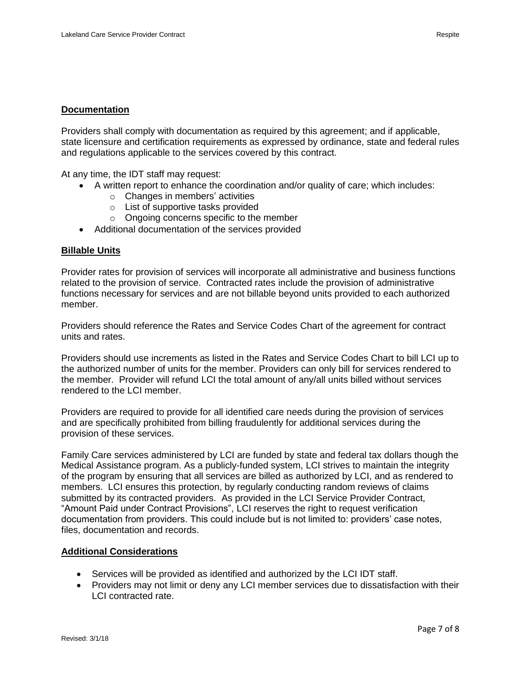#### **Documentation**

Providers shall comply with documentation as required by this agreement; and if applicable, state licensure and certification requirements as expressed by ordinance, state and federal rules and regulations applicable to the services covered by this contract.

At any time, the IDT staff may request:

- A written report to enhance the coordination and/or quality of care; which includes:
	- o Changes in members' activities
	- o List of supportive tasks provided
	- o Ongoing concerns specific to the member
- Additional documentation of the services provided

#### **Billable Units**

Provider rates for provision of services will incorporate all administrative and business functions related to the provision of service. Contracted rates include the provision of administrative functions necessary for services and are not billable beyond units provided to each authorized member.

Providers should reference the Rates and Service Codes Chart of the agreement for contract units and rates.

Providers should use increments as listed in the Rates and Service Codes Chart to bill LCI up to the authorized number of units for the member. Providers can only bill for services rendered to the member. Provider will refund LCI the total amount of any/all units billed without services rendered to the LCI member.

Providers are required to provide for all identified care needs during the provision of services and are specifically prohibited from billing fraudulently for additional services during the provision of these services.

Family Care services administered by LCI are funded by state and federal tax dollars though the Medical Assistance program. As a publicly-funded system, LCI strives to maintain the integrity of the program by ensuring that all services are billed as authorized by LCI, and as rendered to members. LCI ensures this protection, by regularly conducting random reviews of claims submitted by its contracted providers. As provided in the LCI Service Provider Contract, "Amount Paid under Contract Provisions", LCI reserves the right to request verification documentation from providers. This could include but is not limited to: providers' case notes, files, documentation and records.

#### **Additional Considerations**

- Services will be provided as identified and authorized by the LCI IDT staff.
- Providers may not limit or deny any LCI member services due to dissatisfaction with their LCI contracted rate.